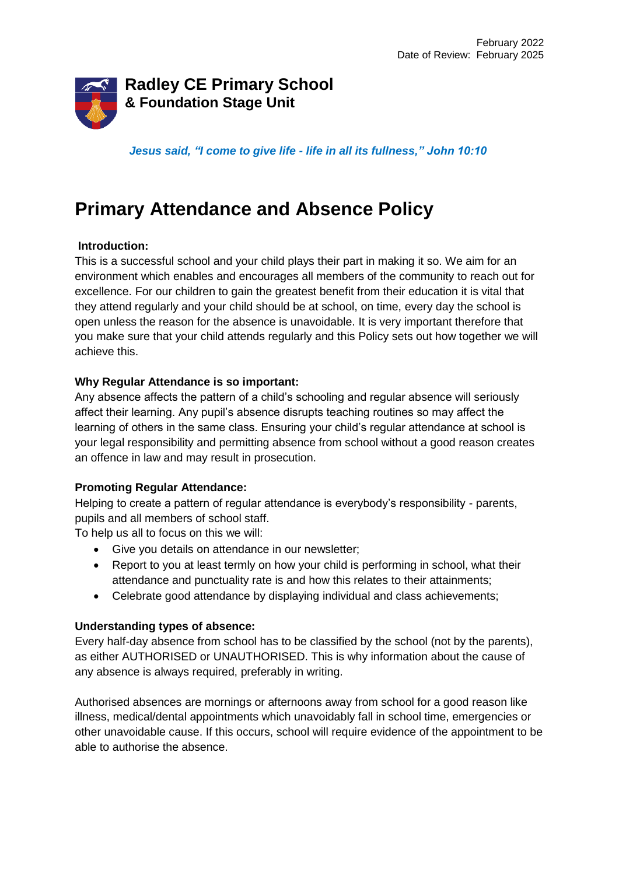

*Jesus said, "I come to give life - life in all its fullness," John 10:10*

# **Primary Attendance and Absence Policy**

## **Introduction:**

This is a successful school and your child plays their part in making it so. We aim for an environment which enables and encourages all members of the community to reach out for excellence. For our children to gain the greatest benefit from their education it is vital that they attend regularly and your child should be at school, on time, every day the school is open unless the reason for the absence is unavoidable. It is very important therefore that you make sure that your child attends regularly and this Policy sets out how together we will achieve this.

## **Why Regular Attendance is so important:**

Any absence affects the pattern of a child's schooling and regular absence will seriously affect their learning. Any pupil's absence disrupts teaching routines so may affect the learning of others in the same class. Ensuring your child's regular attendance at school is your legal responsibility and permitting absence from school without a good reason creates an offence in law and may result in prosecution.

## **Promoting Regular Attendance:**

Helping to create a pattern of regular attendance is everybody's responsibility - parents, pupils and all members of school staff.

To help us all to focus on this we will:

- Give you details on attendance in our newsletter;
- Report to you at least termly on how your child is performing in school, what their attendance and punctuality rate is and how this relates to their attainments;
- Celebrate good attendance by displaying individual and class achievements;

## **Understanding types of absence:**

Every half-day absence from school has to be classified by the school (not by the parents), as either AUTHORISED or UNAUTHORISED. This is why information about the cause of any absence is always required, preferably in writing.

Authorised absences are mornings or afternoons away from school for a good reason like illness, medical/dental appointments which unavoidably fall in school time, emergencies or other unavoidable cause. If this occurs, school will require evidence of the appointment to be able to authorise the absence.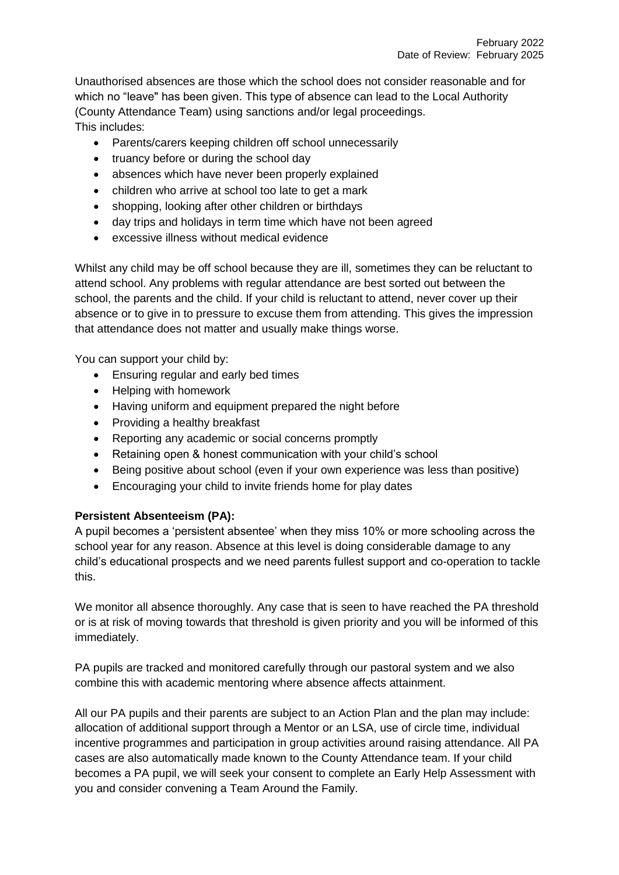Unauthorised absences are those which the school does not consider reasonable and for which no "leave" has been given. This type of absence can lead to the Local Authority (County Attendance Team) using sanctions and/or legal proceedings. This includes:

- Parents/carers keeping children off school unnecessarily
- truancy before or during the school day
- absences which have never been properly explained
- children who arrive at school too late to get a mark
- shopping, looking after other children or birthdays
- day trips and holidays in term time which have not been agreed
- excessive illness without medical evidence

Whilst any child may be off school because they are ill, sometimes they can be reluctant to attend school. Any problems with regular attendance are best sorted out between the school, the parents and the child. If your child is reluctant to attend, never cover up their absence or to give in to pressure to excuse them from attending. This gives the impression that attendance does not matter and usually make things worse.

You can support your child by:

- **Ensuring regular and early bed times**
- Helping with homework
- Having uniform and equipment prepared the night before
- Providing a healthy breakfast
- Reporting any academic or social concerns promptly
- Retaining open & honest communication with your child's school
- Being positive about school (even if your own experience was less than positive)
- Encouraging your child to invite friends home for play dates

# **Persistent Absenteeism (PA):**

A pupil becomes a 'persistent absentee' when they miss 10% or more schooling across the school year for any reason. Absence at this level is doing considerable damage to any child's educational prospects and we need parents fullest support and co-operation to tackle this.

We monitor all absence thoroughly. Any case that is seen to have reached the PA threshold or is at risk of moving towards that threshold is given priority and you will be informed of this immediately.

PA pupils are tracked and monitored carefully through our pastoral system and we also combine this with academic mentoring where absence affects attainment.

All our PA pupils and their parents are subject to an Action Plan and the plan may include: allocation of additional support through a Mentor or an LSA, use of circle time, individual incentive programmes and participation in group activities around raising attendance. All PA cases are also automatically made known to the County Attendance team. If your child becomes a PA pupil, we will seek your consent to complete an Early Help Assessment with you and consider convening a Team Around the Family.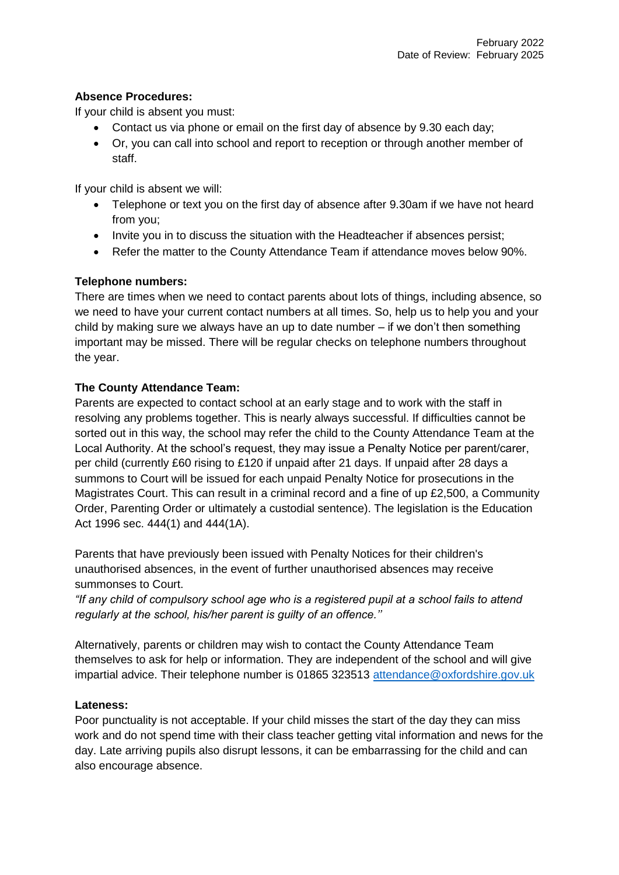## **Absence Procedures:**

If your child is absent you must:

- Contact us via phone or email on the first day of absence by 9.30 each day;
- Or, you can call into school and report to reception or through another member of staff.

If your child is absent we will:

- Telephone or text you on the first day of absence after 9.30am if we have not heard from you;
- Invite you in to discuss the situation with the Headteacher if absences persist;
- Refer the matter to the County Attendance Team if attendance moves below 90%.

## **Telephone numbers:**

There are times when we need to contact parents about lots of things, including absence, so we need to have your current contact numbers at all times. So, help us to help you and your child by making sure we always have an up to date number – if we don't then something important may be missed. There will be regular checks on telephone numbers throughout the year.

## **The County Attendance Team:**

Parents are expected to contact school at an early stage and to work with the staff in resolving any problems together. This is nearly always successful. If difficulties cannot be sorted out in this way, the school may refer the child to the County Attendance Team at the Local Authority. At the school's request, they may issue a Penalty Notice per parent/carer, per child (currently £60 rising to £120 if unpaid after 21 days. If unpaid after 28 days a summons to Court will be issued for each unpaid Penalty Notice for prosecutions in the Magistrates Court. This can result in a criminal record and a fine of up £2,500, a Community Order, Parenting Order or ultimately a custodial sentence). The legislation is the Education Act 1996 sec. 444(1) and 444(1A).

Parents that have previously been issued with Penalty Notices for their children's unauthorised absences, in the event of further unauthorised absences may receive summonses to Court.

*"If any child of compulsory school age who is a registered pupil at a school fails to attend regularly at the school, his/her parent is guilty of an offence.''* 

Alternatively, parents or children may wish to contact the County Attendance Team themselves to ask for help or information. They are independent of the school and will give impartial advice. Their telephone number is 01865 323513 [attendance@oxfordshire.gov.uk](mailto:attendance@oxfordshire.gov.uk)

## **Lateness:**

Poor punctuality is not acceptable. If your child misses the start of the day they can miss work and do not spend time with their class teacher getting vital information and news for the day. Late arriving pupils also disrupt lessons, it can be embarrassing for the child and can also encourage absence.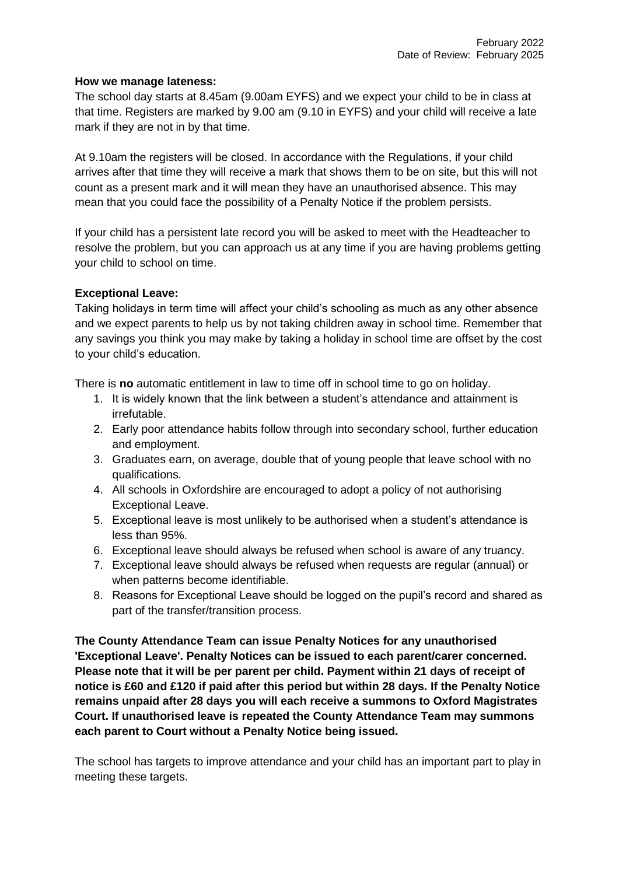#### **How we manage lateness:**

The school day starts at 8.45am (9.00am EYFS) and we expect your child to be in class at that time. Registers are marked by 9.00 am (9.10 in EYFS) and your child will receive a late mark if they are not in by that time.

At 9.10am the registers will be closed. In accordance with the Regulations, if your child arrives after that time they will receive a mark that shows them to be on site, but this will not count as a present mark and it will mean they have an unauthorised absence. This may mean that you could face the possibility of a Penalty Notice if the problem persists.

If your child has a persistent late record you will be asked to meet with the Headteacher to resolve the problem, but you can approach us at any time if you are having problems getting your child to school on time.

## **Exceptional Leave:**

Taking holidays in term time will affect your child's schooling as much as any other absence and we expect parents to help us by not taking children away in school time. Remember that any savings you think you may make by taking a holiday in school time are offset by the cost to your child's education.

There is **no** automatic entitlement in law to time off in school time to go on holiday.

- 1. It is widely known that the link between a student's attendance and attainment is irrefutable.
- 2. Early poor attendance habits follow through into secondary school, further education and employment.
- 3. Graduates earn, on average, double that of young people that leave school with no qualifications.
- 4. All schools in Oxfordshire are encouraged to adopt a policy of not authorising Exceptional Leave.
- 5. Exceptional leave is most unlikely to be authorised when a student's attendance is less than 95%.
- 6. Exceptional leave should always be refused when school is aware of any truancy.
- 7. Exceptional leave should always be refused when requests are regular (annual) or when patterns become identifiable.
- 8. Reasons for Exceptional Leave should be logged on the pupil's record and shared as part of the transfer/transition process.

**The County Attendance Team can issue Penalty Notices for any unauthorised 'Exceptional Leave'. Penalty Notices can be issued to each parent/carer concerned. Please note that it will be per parent per child. Payment within 21 days of receipt of notice is £60 and £120 if paid after this period but within 28 days. If the Penalty Notice remains unpaid after 28 days you will each receive a summons to Oxford Magistrates Court. If unauthorised leave is repeated the County Attendance Team may summons each parent to Court without a Penalty Notice being issued.** 

The school has targets to improve attendance and your child has an important part to play in meeting these targets.